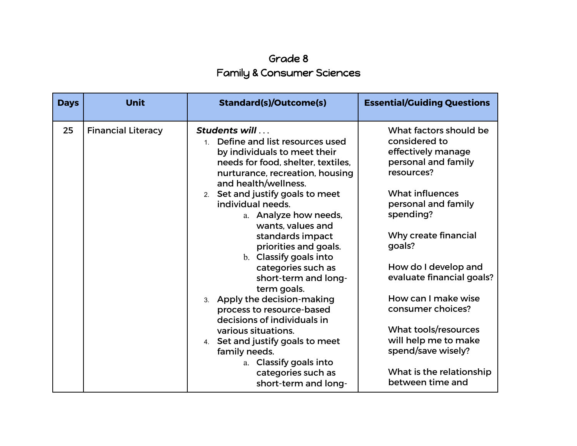## Grade 8 Family & Consumer Sciences

| <b>Days</b> | <b>Unit</b>               | <b>Standard(s)/Outcome(s)</b>                                                                                                                                                                 | <b>Essential/Guiding Questions</b>                                                                 |
|-------------|---------------------------|-----------------------------------------------------------------------------------------------------------------------------------------------------------------------------------------------|----------------------------------------------------------------------------------------------------|
| 25          | <b>Financial Literacy</b> | Students will<br>Define and list resources used<br>$1 \quad$<br>by individuals to meet their<br>needs for food, shelter, textiles,<br>nurturance, recreation, housing<br>and health/wellness. | What factors should be<br>considered to<br>effectively manage<br>personal and family<br>resources? |
|             |                           | 2. Set and justify goals to meet<br>individual needs.<br>a. Analyze how needs,<br>wants, values and                                                                                           | <b>What influences</b><br>personal and family<br>spending?                                         |
|             |                           | standards impact<br>priorities and goals.<br>b. Classify goals into                                                                                                                           | Why create financial<br>goals?                                                                     |
|             |                           | categories such as<br>short-term and long-<br>term goals.                                                                                                                                     | How do I develop and<br>evaluate financial goals?                                                  |
|             |                           | 3. Apply the decision-making<br>process to resource-based<br>decisions of individuals in                                                                                                      | How can I make wise<br>consumer choices?                                                           |
|             |                           | various situations.<br>4. Set and justify goals to meet<br>family needs.                                                                                                                      | What tools/resources<br>will help me to make<br>spend/save wisely?                                 |
|             |                           | a. Classify goals into<br>categories such as<br>short-term and long-                                                                                                                          | What is the relationship<br>between time and                                                       |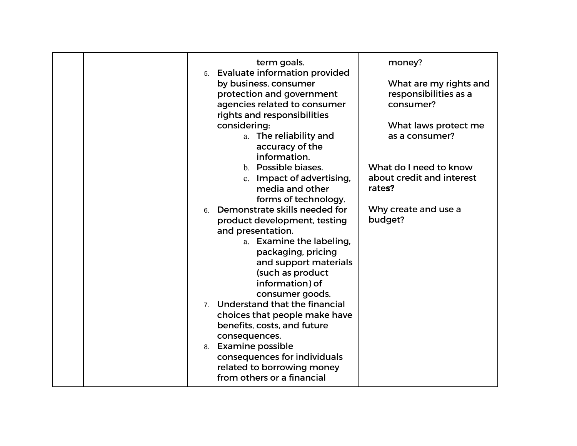| term goals.<br>5. Evaluate information provided<br>by business, consumer<br>protection and government<br>agencies related to consumer<br>rights and responsibilities<br>considering:<br>a. The reliability and<br>accuracy of the<br>information.                                                                                                                                                                                                                                                                                                                 | money?<br>What are my rights and<br>responsibilities as a<br>consumer?<br>What laws protect me<br>as a consumer? |
|-------------------------------------------------------------------------------------------------------------------------------------------------------------------------------------------------------------------------------------------------------------------------------------------------------------------------------------------------------------------------------------------------------------------------------------------------------------------------------------------------------------------------------------------------------------------|------------------------------------------------------------------------------------------------------------------|
| b. Possible biases.<br>c. Impact of advertising,<br>media and other<br>forms of technology.<br>6. Demonstrate skills needed for<br>product development, testing<br>and presentation.<br>a. Examine the labeling,<br>packaging, pricing<br>and support materials<br>(such as product<br>information) of<br>consumer goods.<br>7. Understand that the financial<br>choices that people make have<br>benefits, costs, and future<br>consequences.<br>8. Examine possible<br>consequences for individuals<br>related to borrowing money<br>from others or a financial | What do I need to know<br>about credit and interest<br>rates?<br>Why create and use a<br>budget?                 |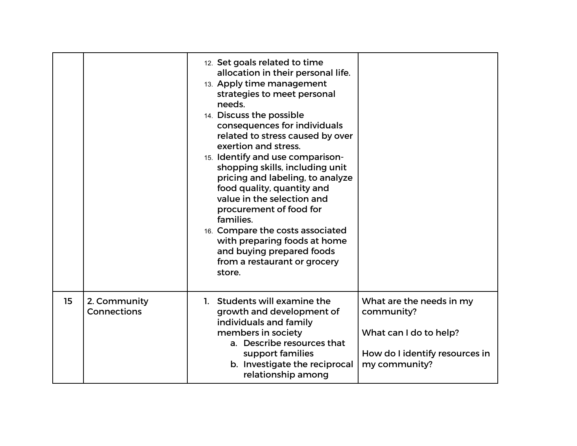|    |                                    | 12. Set goals related to time<br>allocation in their personal life.<br>13. Apply time management<br>strategies to meet personal<br>needs.<br>14. Discuss the possible<br>consequences for individuals<br>related to stress caused by over<br>exertion and stress.<br>15. Identify and use comparison-<br>shopping skills, including unit<br>pricing and labeling, to analyze<br>food quality, quantity and<br>value in the selection and<br>procurement of food for<br>families.<br>16. Compare the costs associated<br>with preparing foods at home<br>and buying prepared foods<br>from a restaurant or grocery<br>store. |                                                                                                                     |
|----|------------------------------------|-----------------------------------------------------------------------------------------------------------------------------------------------------------------------------------------------------------------------------------------------------------------------------------------------------------------------------------------------------------------------------------------------------------------------------------------------------------------------------------------------------------------------------------------------------------------------------------------------------------------------------|---------------------------------------------------------------------------------------------------------------------|
| 15 | 2. Community<br><b>Connections</b> | 1. Students will examine the<br>growth and development of<br>individuals and family<br>members in society<br>a. Describe resources that<br>support families<br>b. Investigate the reciprocal<br>relationship among                                                                                                                                                                                                                                                                                                                                                                                                          | What are the needs in my<br>community?<br>What can I do to help?<br>How do I identify resources in<br>my community? |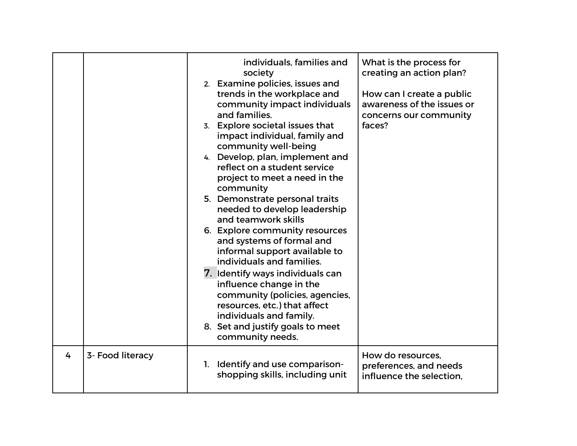|   |                  |    | individuals, families and<br>society<br>2. Examine policies, issues and<br>trends in the workplace and<br>community impact individuals<br>and families.<br>3. Explore societal issues that<br>impact individual, family and<br>community well-being<br>4. Develop, plan, implement and<br>reflect on a student service<br>project to meet a need in the<br>community<br>5. Demonstrate personal traits<br>needed to develop leadership<br>and teamwork skills<br>6. Explore community resources<br>and systems of formal and<br>informal support available to<br>individuals and families.<br>7. Identify ways individuals can<br>influence change in the<br>community (policies, agencies,<br>resources, etc.) that affect<br>individuals and family.<br>8. Set and justify goals to meet<br>community needs. | What is the process for<br>creating an action plan?<br>How can I create a public<br>awareness of the issues or<br>concerns our community<br>faces? |
|---|------------------|----|----------------------------------------------------------------------------------------------------------------------------------------------------------------------------------------------------------------------------------------------------------------------------------------------------------------------------------------------------------------------------------------------------------------------------------------------------------------------------------------------------------------------------------------------------------------------------------------------------------------------------------------------------------------------------------------------------------------------------------------------------------------------------------------------------------------|----------------------------------------------------------------------------------------------------------------------------------------------------|
| 4 | 3- Food literacy | 1. | Identify and use comparison-<br>shopping skills, including unit                                                                                                                                                                                                                                                                                                                                                                                                                                                                                                                                                                                                                                                                                                                                                | How do resources.<br>preferences, and needs<br>influence the selection.                                                                            |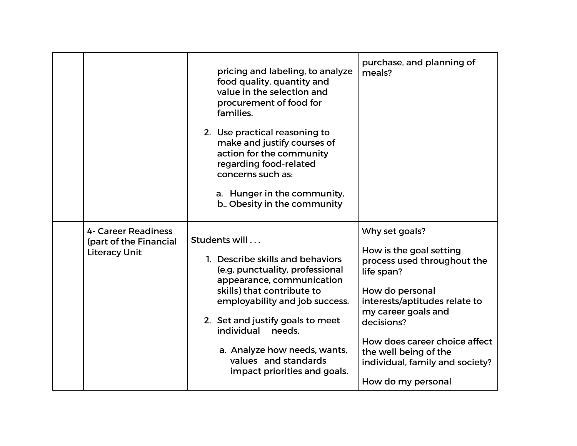|                                                                       | pricing and labeling, to analyze<br>food quality, quantity and<br>value in the selection and<br>procurement of food for<br>families.<br>2. Use practical reasoning to<br>make and justify courses of<br>action for the community<br>regarding food-related<br>concerns such as:<br>a. Hunger in the community.<br>b. Obesity in the community | purchase, and planning of<br>meals?                                                                                                                                                                                                                                                                |
|-----------------------------------------------------------------------|-----------------------------------------------------------------------------------------------------------------------------------------------------------------------------------------------------------------------------------------------------------------------------------------------------------------------------------------------|----------------------------------------------------------------------------------------------------------------------------------------------------------------------------------------------------------------------------------------------------------------------------------------------------|
| 4- Career Readiness<br>(part of the Financial<br><b>Literacy Unit</b> | Students will<br>1. Describe skills and behaviors<br>(e.g. punctuality, professional<br>appearance, communication<br>skills) that contribute to<br>employability and job success.<br>2. Set and justify goals to meet<br>individual<br>needs.<br>a. Analyze how needs, wants,<br>values and standards<br>impact priorities and goals.         | Why set goals?<br>How is the goal setting<br>process used throughout the<br>life span?<br>How do personal<br>interests/aptitudes relate to<br>my career goals and<br>decisions?<br>How does career choice affect<br>the well being of the<br>individual, family and society?<br>How do my personal |